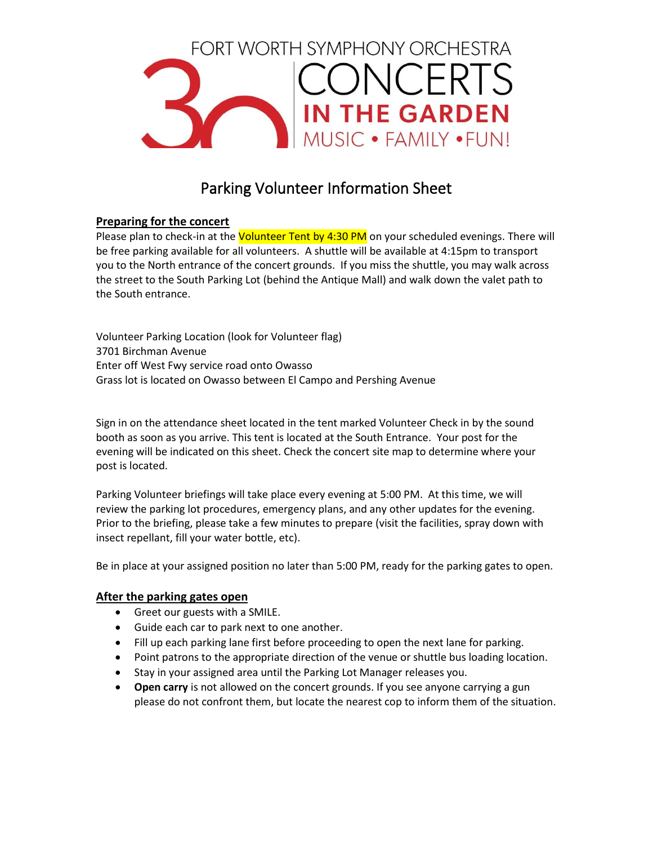

# Parking Volunteer Information Sheet

# **Preparing for the concert**

Please plan to check-in at the Volunteer Tent by 4:30 PM on your scheduled evenings. There will be free parking available for all volunteers. A shuttle will be available at 4:15pm to transport you to the North entrance of the concert grounds. If you miss the shuttle, you may walk across the street to the South Parking Lot (behind the Antique Mall) and walk down the valet path to the South entrance.

Volunteer Parking Location (look for Volunteer flag) 3701 Birchman Avenue Enter off West Fwy service road onto Owasso Grass lot is located on Owasso between El Campo and Pershing Avenue

Sign in on the attendance sheet located in the tent marked Volunteer Check in by the sound booth as soon as you arrive. This tent is located at the South Entrance. Your post for the evening will be indicated on this sheet. Check the concert site map to determine where your post is located.

Parking Volunteer briefings will take place every evening at 5:00 PM. At this time, we will review the parking lot procedures, emergency plans, and any other updates for the evening. Prior to the briefing, please take a few minutes to prepare (visit the facilities, spray down with insect repellant, fill your water bottle, etc).

Be in place at your assigned position no later than 5:00 PM, ready for the parking gates to open.

# **After the parking gates open**

- Greet our guests with a SMILE.
- Guide each car to park next to one another.
- Fill up each parking lane first before proceeding to open the next lane for parking.
- Point patrons to the appropriate direction of the venue or shuttle bus loading location.
- Stay in your assigned area until the Parking Lot Manager releases you.
- **Open carry** is not allowed on the concert grounds. If you see anyone carrying a gun please do not confront them, but locate the nearest cop to inform them of the situation.